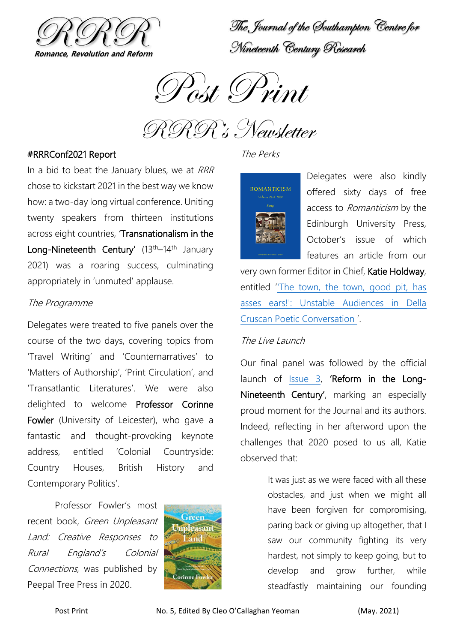

The Journal of the Southampton Centre for Nineteenth Century Research



RRR's Newsletter

## #RRRConf2021 Report

In a bid to beat the January blues, we at RRR chose to kickstart 2021 in the best way we know how: a two-day long virtual conference. Uniting twenty speakers from thirteen institutions across eight countries, 'Transnationalism in the Long-Nineteenth Century'  $(13<sup>th</sup>-14<sup>th</sup>)$  January 2021) was a roaring success, culminating appropriately in 'unmuted' applause.

#### The Programme

Delegates were treated to five panels over the course of the two days, covering topics from 'Travel Writing' and 'Counternarratives' to 'Matters of Authorship', 'Print Circulation', and 'Transatlantic Literatures'. We were also delighted to welcome Professor Corinne Fowler (University of Leicester), who gave a fantastic and thought-provoking keynote address, entitled 'Colonial Countryside: Country Houses, British History and Contemporary Politics'.

Professor Fowler's most recent book, Green Unpleasant Land: Creative Responses to Rural England's Colonial Connections, was published by Peepal Tree Press in 2020.



## The Perks



Delegates were also kindly offered sixty days of free access to Romanticism by the Edinburgh University Press, October's issue of which features an article from our

very own former Editor in Chief, Katie Holdway, entitled '['The town, the town, good pit, has](https://www.euppublishing.com/doi/abs/10.3366/rom.2020.0474)  [asses ears!': Unstable Audiences in Della](https://www.euppublishing.com/doi/abs/10.3366/rom.2020.0474)  [Cruscan Poetic Conversation](https://www.euppublishing.com/doi/abs/10.3366/rom.2020.0474) '.

#### The Live Launch

Our final panel was followed by the official launch of [Issue 3,](https://www.rrrjournal.com/issue-3) 'Reform in the Long-Nineteenth Century', marking an especially proud moment for the Journal and its authors. Indeed, reflecting in her afterword upon the challenges that 2020 posed to us all, Katie observed that:

> It was just as we were faced with all these obstacles, and just when we might all have been forgiven for compromising, paring back or giving up altogether, that I saw our community fighting its very hardest, not simply to keep going, but to develop and grow further, while steadfastly maintaining our founding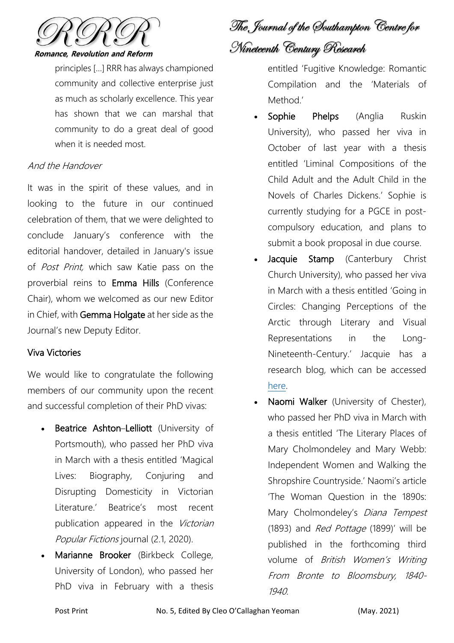

principles […] RRR has always championed community and collective enterprise just as much as scholarly excellence. This year has shown that we can marshal that community to do a great deal of good when it is needed most.

# And the Handover

It was in the spirit of these values, and in looking to the future in our continued celebration of them, that we were delighted to conclude January's conference with the editorial handover, detailed in January's issue of *Post Print*, which saw Katie pass on the proverbial reins to Emma Hills (Conference Chair), whom we welcomed as our new Editor in Chief, with Gemma Holgate at her side as the Journal's new Deputy Editor.

# Viva Victories

We would like to congratulate the following members of our community upon the recent and successful completion of their PhD vivas:

- Beatrice Ashton–Lelliott (University of Portsmouth), who passed her PhD viva in March with a thesis entitled 'Magical Lives: Biography, Conjuring and Disrupting Domesticity in Victorian Literature.' Beatrice's most recent publication appeared in the Victorian Popular Fictions journal (2.1, 2020).
- Marianne Brooker (Birkbeck College, University of London), who passed her PhD viva in February with a thesis

The Journal of the Southampton Centre for Nineteenth Century Research

entitled 'Fugitive Knowledge: Romantic Compilation and the 'Materials of Method<sup>'</sup>

- Sophie Phelps (Anglia Ruskin University), who passed her viva in October of last year with a thesis entitled 'Liminal Compositions of the Child Adult and the Adult Child in the Novels of Charles Dickens.' Sophie is currently studying for a PGCE in postcompulsory education, and plans to submit a book proposal in due course.
- Jacquie Stamp (Canterbury Christ Church University), who passed her viva in March with a thesis entitled 'Going in Circles: Changing Perceptions of the Arctic through Literary and Visual Representations in the Long-Nineteenth-Century.' Jacquie has a research blog, which can be accessed [here.](https://c19arcticrepresentations.wordpress.com/)
- Naomi Walker (University of Chester), who passed her PhD viva in March with a thesis entitled 'The Literary Places of Mary Cholmondeley and Mary Webb: Independent Women and Walking the Shropshire Countryside.' Naomi's article 'The Woman Question in the 1890s: Mary Cholmondeley's *Diana Tempest* (1893) and Red Pottage (1899)' will be published in the forthcoming third volume of British Women's Writing From Bronte to Bloomsbury, 1840- 1940.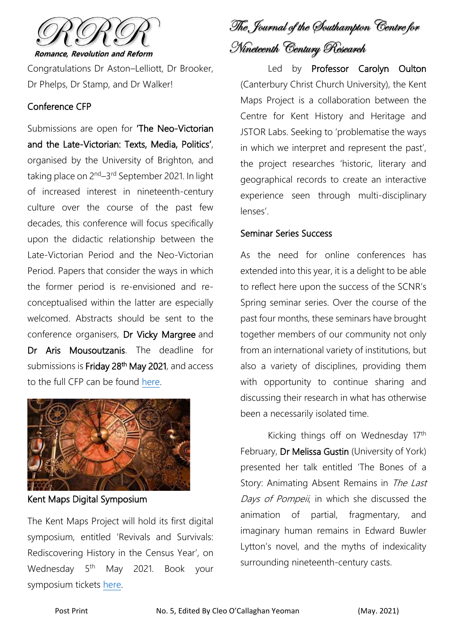

Congratulations Dr Aston–Lelliott, Dr Brooker, Dr Phelps, Dr Stamp, and Dr Walker!

# Conference CFP

Submissions are open for 'The Neo-Victorian and the Late-Victorian: Texts, Media, Politics', organised by the University of Brighton, and taking place on 2<sup>nd</sup>–3<sup>rd</sup> September 2021. In light of increased interest in nineteenth-century culture over the course of the past few decades, this conference will focus specifically upon the didactic relationship between the Late-Victorian Period and the Neo-Victorian Period. Papers that consider the ways in which the former period is re-envisioned and reconceptualised within the latter are especially welcomed. Abstracts should be sent to the conference organisers, Dr Vicky Margree and Dr Aris Mousoutzanis. The deadline for submissions is Friday 28<sup>th</sup> May 2021, and access to the full CFP can be found [here.](http://blogs.brighton.ac.uk/neovictorian/cfp/)



Kent Maps Digital Symposium

The Kent Maps Project will hold its first digital symposium, entitled 'Revivals and Survivals: Rediscovering History in the Census Year', on Wednesday 5<sup>th</sup> May 2021. Book your symposium tickets [here.](https://www.eventbrite.co.uk/e/kent-maps-digital-symposium-2021-tickets-146482128991?aff=ebdssbeac)

The Journal of the Southampton Centre for Nineteenth Century Research

Led by Professor Carolyn Oulton (Canterbury Christ Church University), the Kent Maps Project is a collaboration between the Centre for Kent History and Heritage and JSTOR Labs. Seeking to 'problematise the ways in which we interpret and represent the past', the project researches 'historic, literary and geographical records to create an interactive experience seen through multi-disciplinary lenses'.

# Seminar Series Success

As the need for online conferences has extended into this year, it is a delight to be able to reflect here upon the success of the SCNR's Spring seminar series. Over the course of the past four months, these seminars have brought together members of our community not only from an international variety of institutions, but also a variety of disciplines, providing them with opportunity to continue sharing and discussing their research in what has otherwise been a necessarily isolated time.

Kicking things off on Wednesday 17th February, Dr Melissa Gustin (University of York) presented her talk entitled 'The Bones of a Story: Animating Absent Remains in The Last Days of Pompeii, in which she discussed the animation of partial, fragmentary, and imaginary human remains in Edward Buwler Lytton's novel, and the myths of indexicality surrounding nineteenth-century casts.